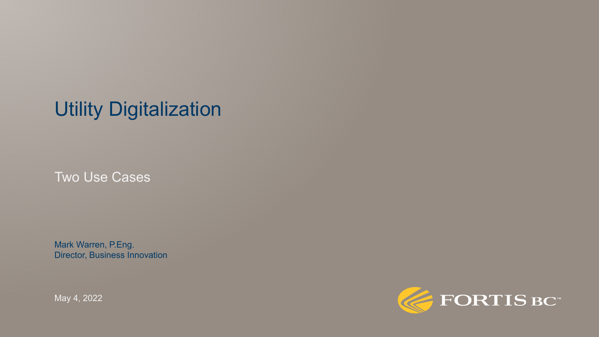# Utility Digitalization

Two Use Cases

Mark Warren, P.Eng. Director, Business Innovation

May 4, 2022

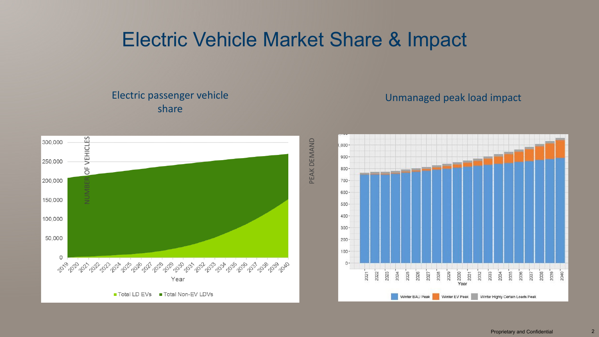### Electric Vehicle Market Share & Impact

#### Electric passenger vehicle share

#### Unmanaged peak load impact



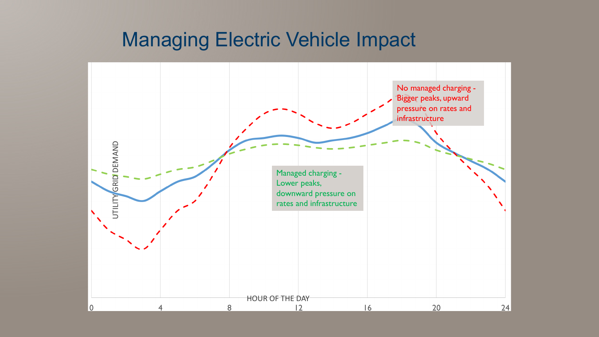#### Managing Electric Vehicle Impact

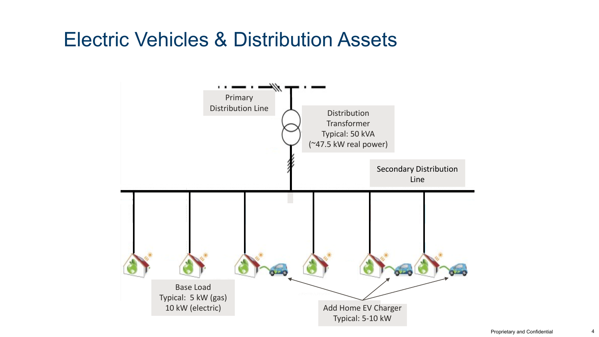### Electric Vehicles & Distribution Assets

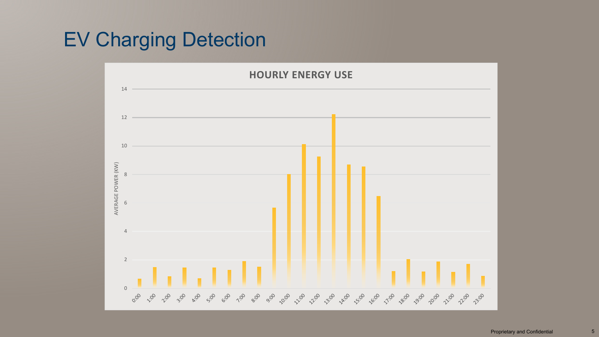# EV Charging Detection

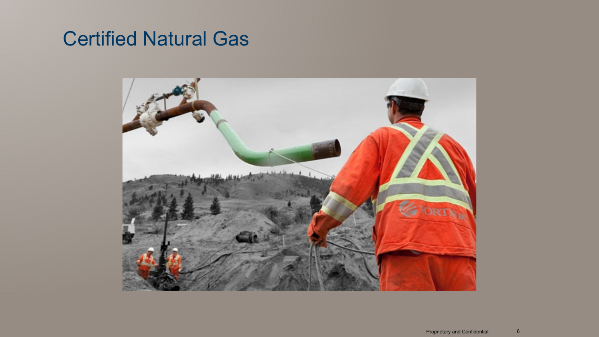### Certified Natural Gas

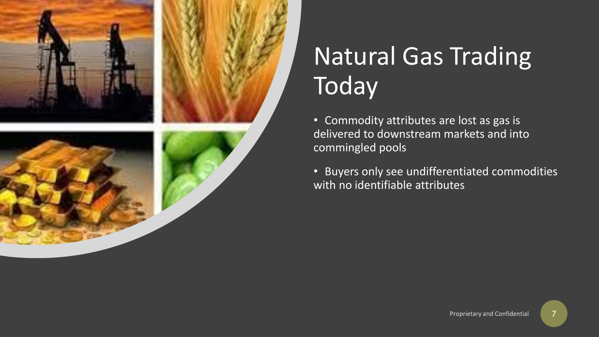

# Natural Gas Trading **Today**

• Commodity attributes are lost as gas is delivered to downstream markets and into commingled pools

• Buyers only see undifferentiated commodities with no identifiable attributes

7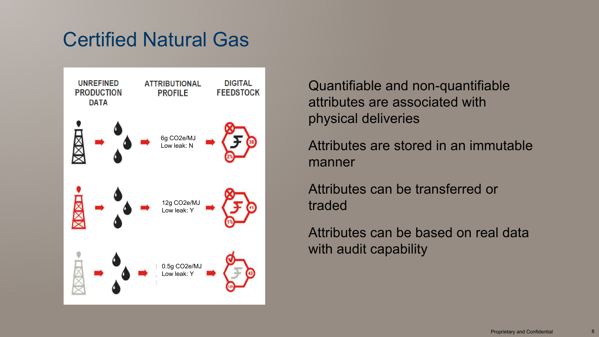# Certified Natural Gas



Quantifiable and non-quantifiable attributes are associated with physical deliveries

Attributes are stored in an immutable manner

Attributes can be transferred or traded

Attributes can be based on real data with audit capability